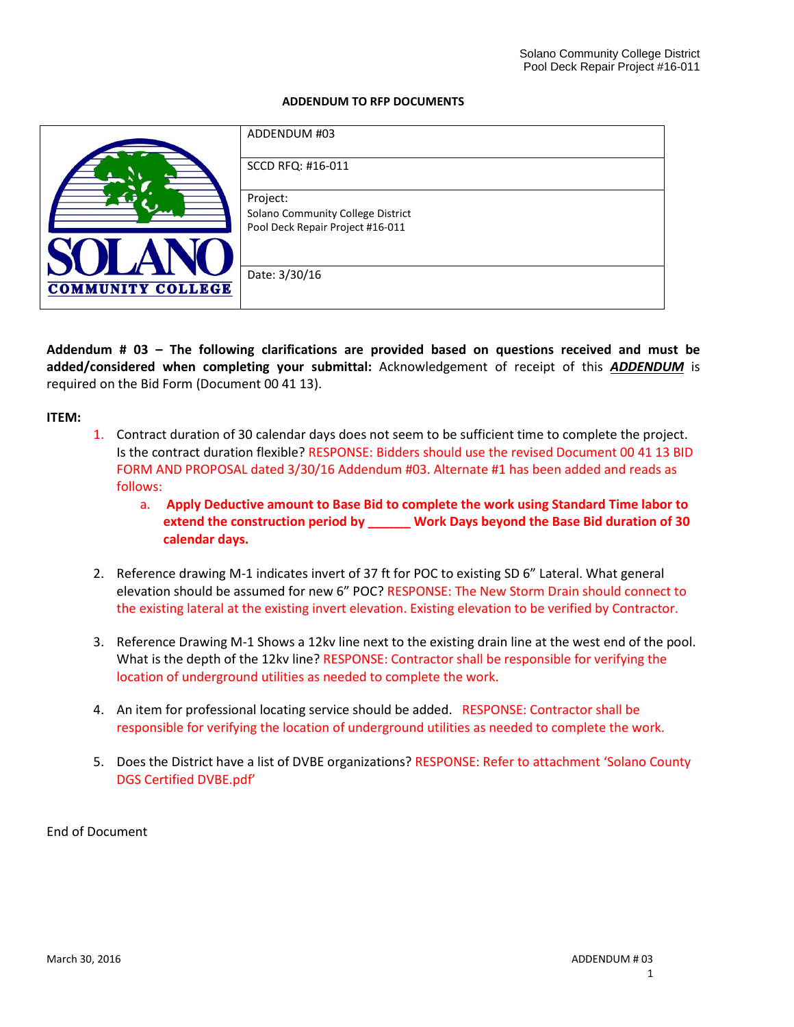#### **ADDENDUM TO RFP DOCUMENTS**

|                          | ADDENDUM #03                                                                      |
|--------------------------|-----------------------------------------------------------------------------------|
|                          | SCCD RFQ: #16-011                                                                 |
|                          | Project:<br>Solano Community College District<br>Pool Deck Repair Project #16-011 |
|                          |                                                                                   |
| <b>COMMUNITY COLLEGE</b> | Date: 3/30/16                                                                     |

**Addendum # 03 – The following clarifications are provided based on questions received and must be added/considered when completing your submittal:** Acknowledgement of receipt of this *ADDENDUM* is required on the Bid Form (Document 00 41 13).

### **ITEM:**

- 1. Contract duration of 30 calendar days does not seem to be sufficient time to complete the project. Is the contract duration flexible? RESPONSE: Bidders should use the revised Document 00 41 13 BID FORM AND PROPOSAL dated 3/30/16 Addendum #03. Alternate #1 has been added and reads as follows:
	- a. **Apply Deductive amount to Base Bid to complete the work using Standard Time labor to extend the construction period by \_\_\_\_\_\_ Work Days beyond the Base Bid duration of 30 calendar days.**
- 2. Reference drawing M-1 indicates invert of 37 ft for POC to existing SD 6" Lateral. What general elevation should be assumed for new 6" POC? RESPONSE: The New Storm Drain should connect to the existing lateral at the existing invert elevation. Existing elevation to be verified by Contractor.
- 3. Reference Drawing M-1 Shows a 12kv line next to the existing drain line at the west end of the pool. What is the depth of the 12kv line? RESPONSE: Contractor shall be responsible for verifying the location of underground utilities as needed to complete the work.
- 4. An item for professional locating service should be added. RESPONSE: Contractor shall be responsible for verifying the location of underground utilities as needed to complete the work.
- 5. Does the District have a list of DVBE organizations? RESPONSE: Refer to attachment 'Solano County DGS Certified DVBE.pdf'

End of Document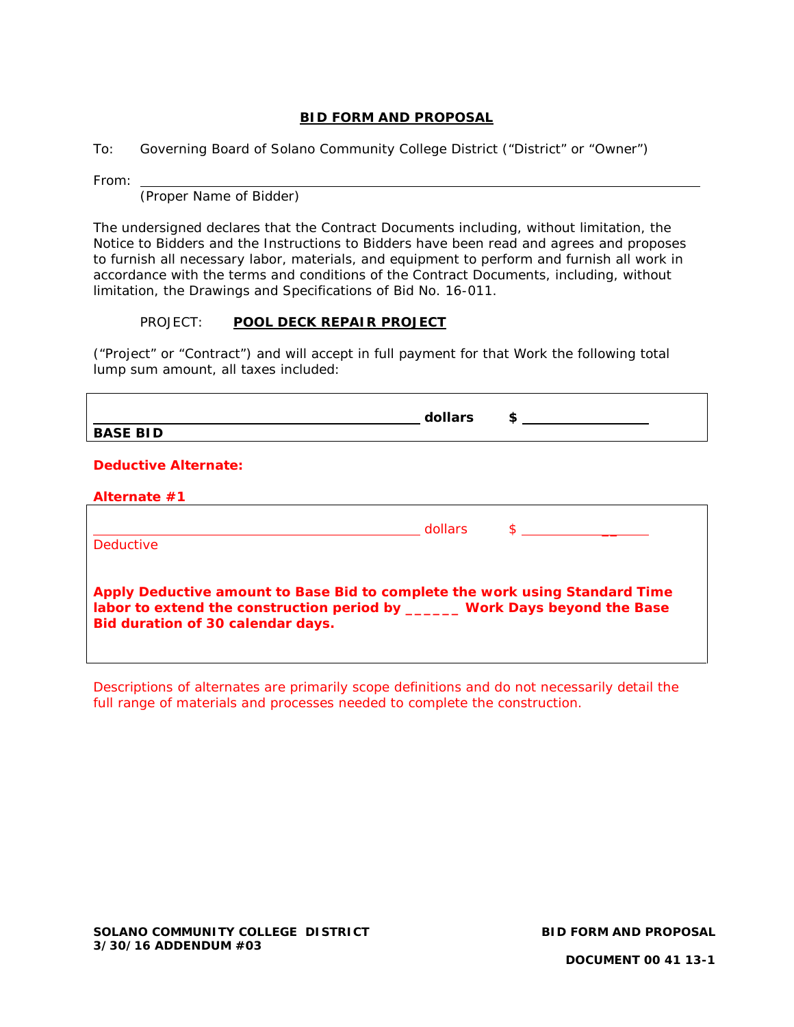# **BID FORM AND PROPOSAL**

To: Governing Board of Solano Community College District ("District" or "Owner")

From:

(Proper Name of Bidder)

The undersigned declares that the Contract Documents including, without limitation, the Notice to Bidders and the Instructions to Bidders have been read and agrees and proposes to furnish all necessary labor, materials, and equipment to perform and furnish all work in accordance with the terms and conditions of the Contract Documents, including, without limitation, the Drawings and Specifications of Bid No. 16-011.

## PROJECT: **POOL DECK REPAIR PROJECT**

("Project" or "Contract") and will accept in full payment for that Work the following total lump sum amount, all taxes included:

|                 | dollars<br>aoı | - 12 |
|-----------------|----------------|------|
| <b>BASE BID</b> |                |      |

*Deductive Alternate:*

*Alternate #1*

| Deductive                                                                                                                                                                                         | dollars |  |
|---------------------------------------------------------------------------------------------------------------------------------------------------------------------------------------------------|---------|--|
| Apply Deductive amount to Base Bid to complete the work using Standard Time<br>labor to extend the construction period by ________ Work Days beyond the Base<br>Bid duration of 30 calendar days. |         |  |

*Descriptions of alternates are primarily scope definitions and do not necessarily detail the full range of materials and processes needed to complete the construction.*

**BID FORM AND PROPOSAL**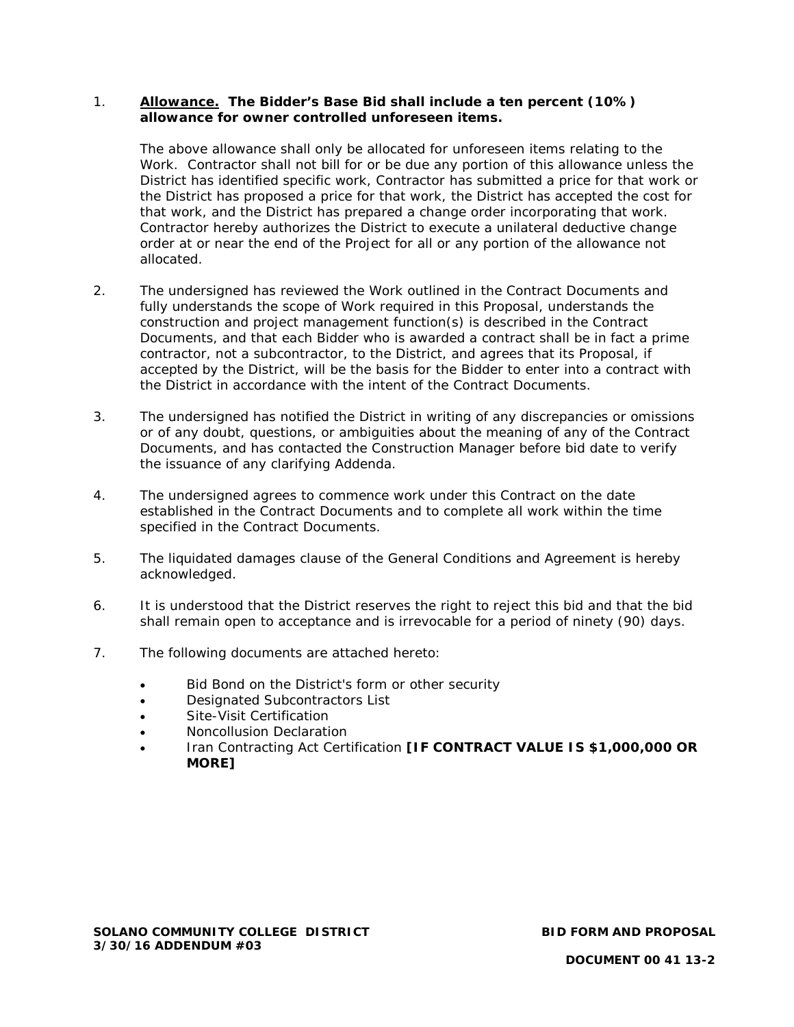## 1. **Allowance. The Bidder's Base Bid shall include a ten percent (10%) allowance for owner controlled unforeseen items.**

The above allowance shall only be allocated for unforeseen items relating to the Work. Contractor shall not bill for or be due any portion of this allowance unless the District has identified specific work, Contractor has submitted a price for that work or the District has proposed a price for that work, the District has accepted the cost for that work, and the District has prepared a change order incorporating that work. Contractor hereby authorizes the District to execute a unilateral deductive change order at or near the end of the Project for all or any portion of the allowance not allocated.

- 2. The undersigned has reviewed the Work outlined in the Contract Documents and fully understands the scope of Work required in this Proposal, understands the construction and project management function(s) is described in the Contract Documents, and that each Bidder who is awarded a contract shall be in fact a prime contractor, not a subcontractor, to the District, and agrees that its Proposal, if accepted by the District, will be the basis for the Bidder to enter into a contract with the District in accordance with the intent of the Contract Documents.
- 3. The undersigned has notified the District in writing of any discrepancies or omissions or of any doubt, questions, or ambiguities about the meaning of any of the Contract Documents, and has contacted the Construction Manager before bid date to verify the issuance of any clarifying Addenda.
- 4. The undersigned agrees to commence work under this Contract on the date established in the Contract Documents and to complete all work within the time specified in the Contract Documents.
- 5. The liquidated damages clause of the General Conditions and Agreement is hereby acknowledged.
- 6. It is understood that the District reserves the right to reject this bid and that the bid shall remain open to acceptance and is irrevocable for a period of ninety (90) days.
- 7. The following documents are attached hereto:
	- Bid Bond on the District's form or other security
	- Designated Subcontractors List
	- Site-Visit Certification
	- Noncollusion Declaration
	- Iran Contracting Act Certification **[IF CONTRACT VALUE IS \$1,000,000 OR MORE]**

**BID FORM AND PROPOSAL**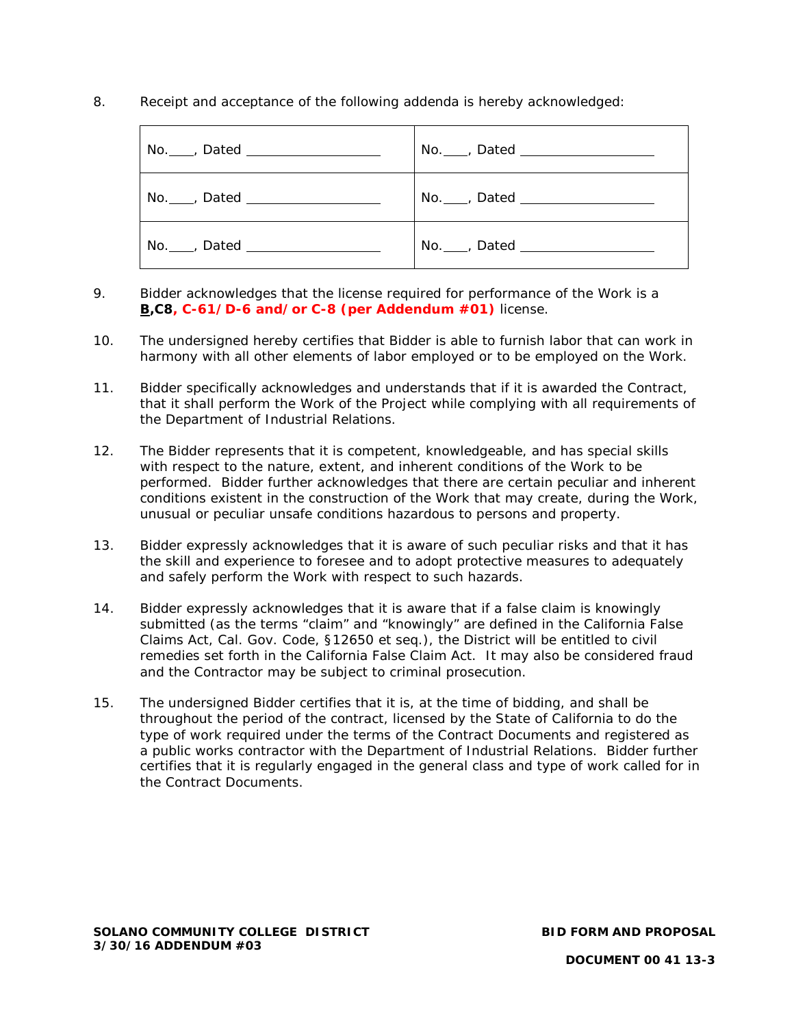8. Receipt and acceptance of the following addenda is hereby acknowledged:

- 9. Bidder acknowledges that the license required for performance of the Work is a **B,C8***, C-61/D-6 and/or C-8 (per Addendum #01)* license.
- 10. The undersigned hereby certifies that Bidder is able to furnish labor that can work in harmony with all other elements of labor employed or to be employed on the Work.
- 11. Bidder specifically acknowledges and understands that if it is awarded the Contract, that it shall perform the Work of the Project while complying with all requirements of the Department of Industrial Relations.
- 12. The Bidder represents that it is competent, knowledgeable, and has special skills with respect to the nature, extent, and inherent conditions of the Work to be performed. Bidder further acknowledges that there are certain peculiar and inherent conditions existent in the construction of the Work that may create, during the Work, unusual or peculiar unsafe conditions hazardous to persons and property.
- 13. Bidder expressly acknowledges that it is aware of such peculiar risks and that it has the skill and experience to foresee and to adopt protective measures to adequately and safely perform the Work with respect to such hazards.
- 14. Bidder expressly acknowledges that it is aware that if a false claim is knowingly submitted (as the terms "claim" and "knowingly" are defined in the California False Claims Act, Cal. Gov. Code, §12650 et seq.), the District will be entitled to civil remedies set forth in the California False Claim Act. It may also be considered fraud and the Contractor may be subject to criminal prosecution.
- 15. The undersigned Bidder certifies that it is, at the time of bidding, and shall be throughout the period of the contract, licensed by the State of California to do the type of work required under the terms of the Contract Documents and registered as a public works contractor with the Department of Industrial Relations. Bidder further certifies that it is regularly engaged in the general class and type of work called for in the Contract Documents.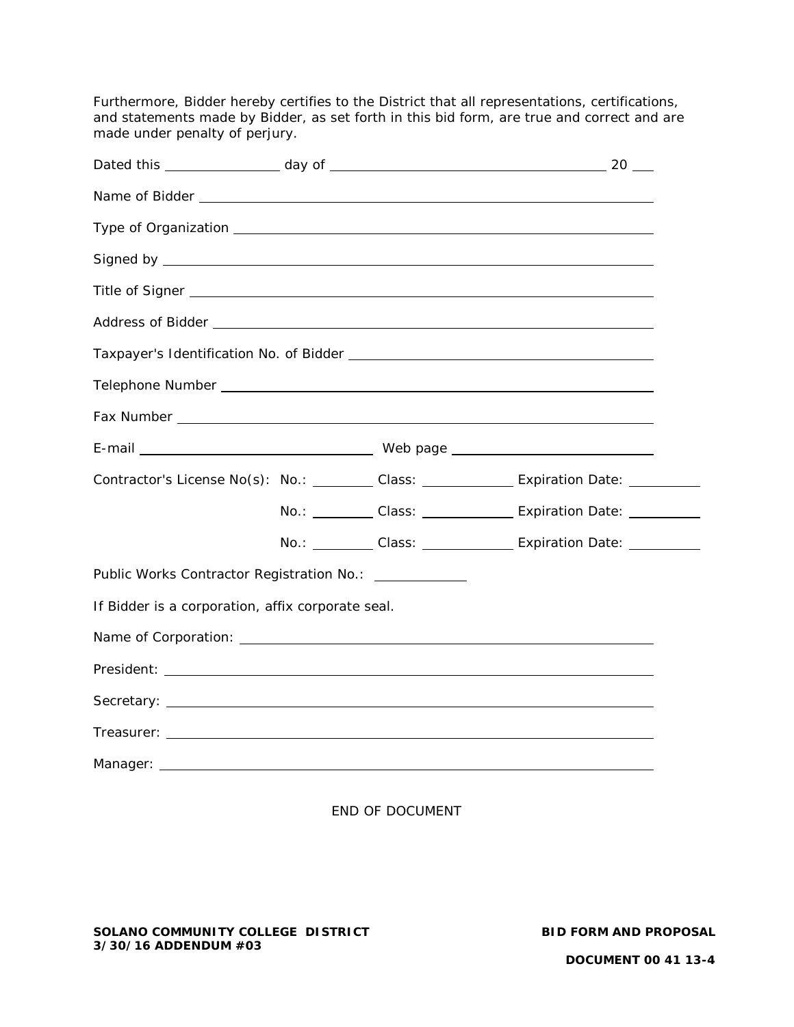Furthermore, Bidder hereby certifies to the District that all representations, certifications, and statements made by Bidder, as set forth in this bid form, are true and correct and are made under penalty of perjury.

| Name of Bidder Name of Bidder Name of Bidder Name of Bidder Name of Bidder Name of Bidder Name of Bidder Name of Bidder Name of Bidder Name of Bidder Name of Bidder Name of Bidder Name of Bidder Name of Bidder Name of Bidd |  |  |                                                                                             |  |  |  |  |  |  |
|--------------------------------------------------------------------------------------------------------------------------------------------------------------------------------------------------------------------------------|--|--|---------------------------------------------------------------------------------------------|--|--|--|--|--|--|
|                                                                                                                                                                                                                                |  |  |                                                                                             |  |  |  |  |  |  |
|                                                                                                                                                                                                                                |  |  |                                                                                             |  |  |  |  |  |  |
|                                                                                                                                                                                                                                |  |  |                                                                                             |  |  |  |  |  |  |
|                                                                                                                                                                                                                                |  |  |                                                                                             |  |  |  |  |  |  |
|                                                                                                                                                                                                                                |  |  |                                                                                             |  |  |  |  |  |  |
|                                                                                                                                                                                                                                |  |  |                                                                                             |  |  |  |  |  |  |
|                                                                                                                                                                                                                                |  |  |                                                                                             |  |  |  |  |  |  |
|                                                                                                                                                                                                                                |  |  |                                                                                             |  |  |  |  |  |  |
|                                                                                                                                                                                                                                |  |  | Contractor's License No(s): No.: _________ Class: ______________ Expiration Date: _________ |  |  |  |  |  |  |
|                                                                                                                                                                                                                                |  |  | No.: __________ Class: _______________ Expiration Date: ___________                         |  |  |  |  |  |  |
|                                                                                                                                                                                                                                |  |  |                                                                                             |  |  |  |  |  |  |
| Public Works Contractor Registration No.: ____________                                                                                                                                                                         |  |  |                                                                                             |  |  |  |  |  |  |
| If Bidder is a corporation, affix corporate seal.                                                                                                                                                                              |  |  |                                                                                             |  |  |  |  |  |  |
|                                                                                                                                                                                                                                |  |  |                                                                                             |  |  |  |  |  |  |
|                                                                                                                                                                                                                                |  |  |                                                                                             |  |  |  |  |  |  |
|                                                                                                                                                                                                                                |  |  |                                                                                             |  |  |  |  |  |  |
|                                                                                                                                                                                                                                |  |  |                                                                                             |  |  |  |  |  |  |
|                                                                                                                                                                                                                                |  |  |                                                                                             |  |  |  |  |  |  |

END OF DOCUMENT